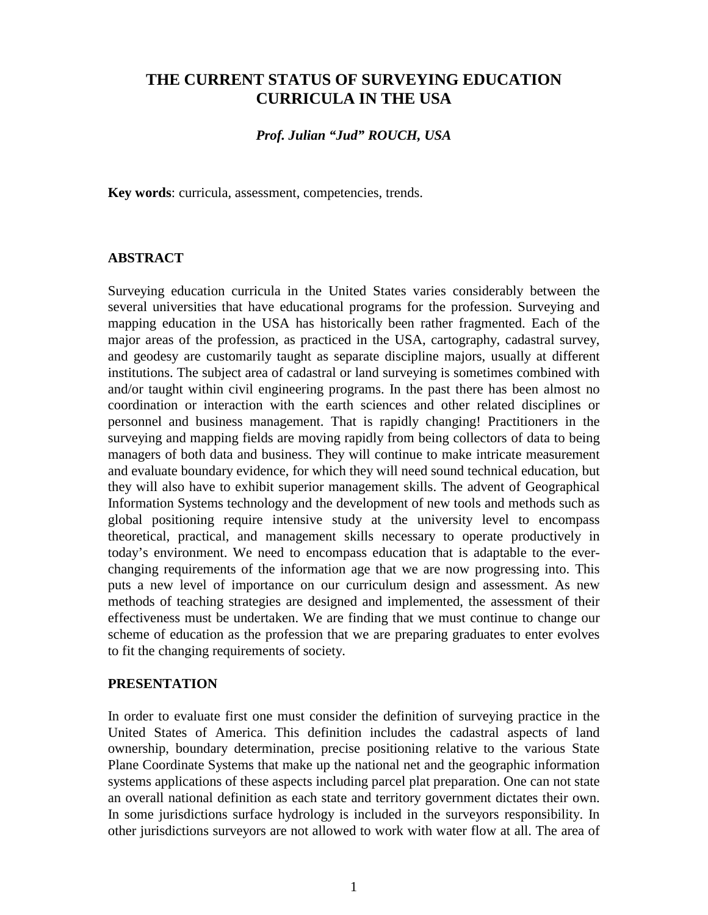## **THE CURRENT STATUS OF SURVEYING EDUCATION CURRICULA IN THE USA**

## *Prof. Julian "Jud" ROUCH, USA*

**Key words**: curricula, assessment, competencies, trends.

### **ABSTRACT**

Surveying education curricula in the United States varies considerably between the several universities that have educational programs for the profession. Surveying and mapping education in the USA has historically been rather fragmented. Each of the major areas of the profession, as practiced in the USA, cartography, cadastral survey, and geodesy are customarily taught as separate discipline majors, usually at different institutions. The subject area of cadastral or land surveying is sometimes combined with and/or taught within civil engineering programs. In the past there has been almost no coordination or interaction with the earth sciences and other related disciplines or personnel and business management. That is rapidly changing! Practitioners in the surveying and mapping fields are moving rapidly from being collectors of data to being managers of both data and business. They will continue to make intricate measurement and evaluate boundary evidence, for which they will need sound technical education, but they will also have to exhibit superior management skills. The advent of Geographical Information Systems technology and the development of new tools and methods such as global positioning require intensive study at the university level to encompass theoretical, practical, and management skills necessary to operate productively in today's environment. We need to encompass education that is adaptable to the everchanging requirements of the information age that we are now progressing into. This puts a new level of importance on our curriculum design and assessment. As new methods of teaching strategies are designed and implemented, the assessment of their effectiveness must be undertaken. We are finding that we must continue to change our scheme of education as the profession that we are preparing graduates to enter evolves to fit the changing requirements of society.

#### **PRESENTATION**

In order to evaluate first one must consider the definition of surveying practice in the United States of America. This definition includes the cadastral aspects of land ownership, boundary determination, precise positioning relative to the various State Plane Coordinate Systems that make up the national net and the geographic information systems applications of these aspects including parcel plat preparation. One can not state an overall national definition as each state and territory government dictates their own. In some jurisdictions surface hydrology is included in the surveyors responsibility. In other jurisdictions surveyors are not allowed to work with water flow at all. The area of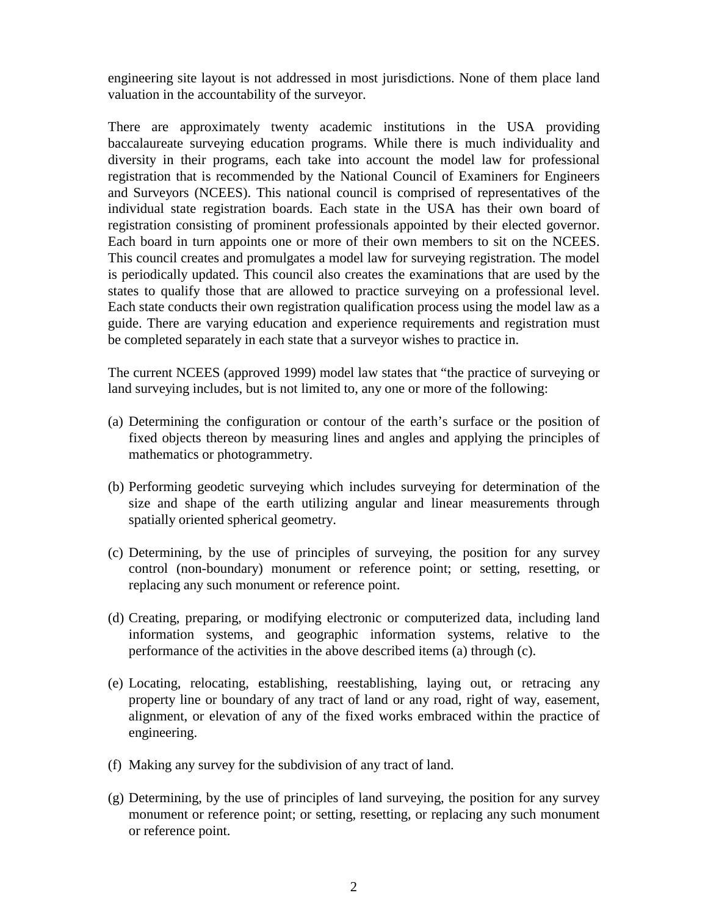engineering site layout is not addressed in most jurisdictions. None of them place land valuation in the accountability of the surveyor.

There are approximately twenty academic institutions in the USA providing baccalaureate surveying education programs. While there is much individuality and diversity in their programs, each take into account the model law for professional registration that is recommended by the National Council of Examiners for Engineers and Surveyors (NCEES). This national council is comprised of representatives of the individual state registration boards. Each state in the USA has their own board of registration consisting of prominent professionals appointed by their elected governor. Each board in turn appoints one or more of their own members to sit on the NCEES. This council creates and promulgates a model law for surveying registration. The model is periodically updated. This council also creates the examinations that are used by the states to qualify those that are allowed to practice surveying on a professional level. Each state conducts their own registration qualification process using the model law as a guide. There are varying education and experience requirements and registration must be completed separately in each state that a surveyor wishes to practice in.

The current NCEES (approved 1999) model law states that "the practice of surveying or land surveying includes, but is not limited to, any one or more of the following:

- (a) Determining the configuration or contour of the earth's surface or the position of fixed objects thereon by measuring lines and angles and applying the principles of mathematics or photogrammetry.
- (b) Performing geodetic surveying which includes surveying for determination of the size and shape of the earth utilizing angular and linear measurements through spatially oriented spherical geometry.
- (c) Determining, by the use of principles of surveying, the position for any survey control (non-boundary) monument or reference point; or setting, resetting, or replacing any such monument or reference point.
- (d) Creating, preparing, or modifying electronic or computerized data, including land information systems, and geographic information systems, relative to the performance of the activities in the above described items (a) through (c).
- (e) Locating, relocating, establishing, reestablishing, laying out, or retracing any property line or boundary of any tract of land or any road, right of way, easement, alignment, or elevation of any of the fixed works embraced within the practice of engineering.
- (f) Making any survey for the subdivision of any tract of land.
- (g) Determining, by the use of principles of land surveying, the position for any survey monument or reference point; or setting, resetting, or replacing any such monument or reference point.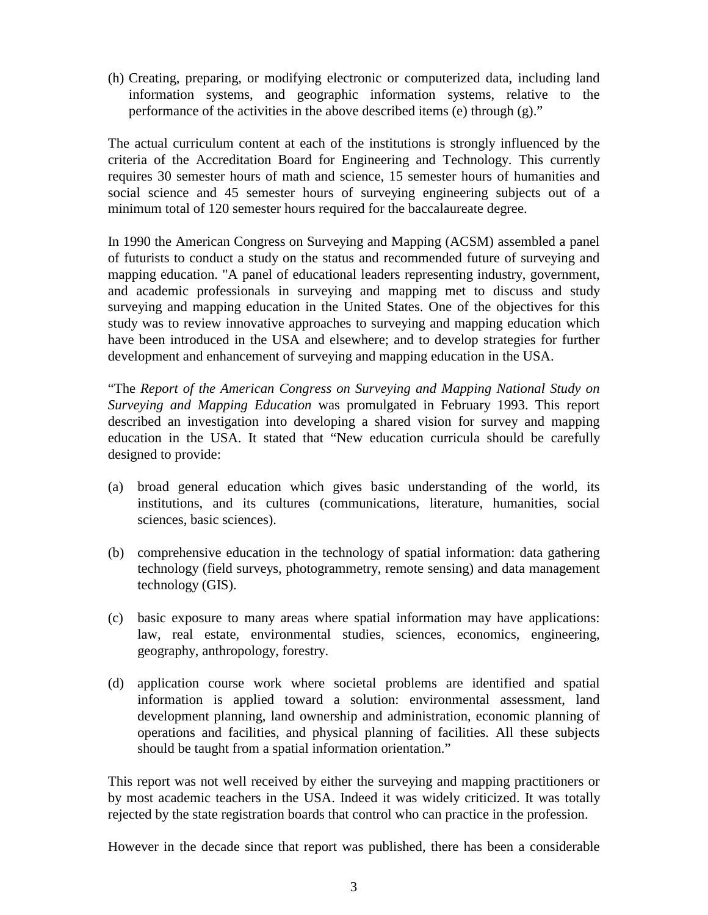(h) Creating, preparing, or modifying electronic or computerized data, including land information systems, and geographic information systems, relative to the performance of the activities in the above described items (e) through (g)."

The actual curriculum content at each of the institutions is strongly influenced by the criteria of the Accreditation Board for Engineering and Technology. This currently requires 30 semester hours of math and science, 15 semester hours of humanities and social science and 45 semester hours of surveying engineering subjects out of a minimum total of 120 semester hours required for the baccalaureate degree.

In 1990 the American Congress on Surveying and Mapping (ACSM) assembled a panel of futurists to conduct a study on the status and recommended future of surveying and mapping education. "A panel of educational leaders representing industry, government, and academic professionals in surveying and mapping met to discuss and study surveying and mapping education in the United States. One of the objectives for this study was to review innovative approaches to surveying and mapping education which have been introduced in the USA and elsewhere; and to develop strategies for further development and enhancement of surveying and mapping education in the USA.

"The *Report of the American Congress on Surveying and Mapping National Study on Surveying and Mapping Education* was promulgated in February 1993. This report described an investigation into developing a shared vision for survey and mapping education in the USA. It stated that "New education curricula should be carefully designed to provide:

- (a) broad general education which gives basic understanding of the world, its institutions, and its cultures (communications, literature, humanities, social sciences, basic sciences).
- (b) comprehensive education in the technology of spatial information: data gathering technology (field surveys, photogrammetry, remote sensing) and data management technology (GIS).
- (c) basic exposure to many areas where spatial information may have applications: law, real estate, environmental studies, sciences, economics, engineering, geography, anthropology, forestry.
- (d) application course work where societal problems are identified and spatial information is applied toward a solution: environmental assessment, land development planning, land ownership and administration, economic planning of operations and facilities, and physical planning of facilities. All these subjects should be taught from a spatial information orientation."

This report was not well received by either the surveying and mapping practitioners or by most academic teachers in the USA. Indeed it was widely criticized. It was totally rejected by the state registration boards that control who can practice in the profession.

However in the decade since that report was published, there has been a considerable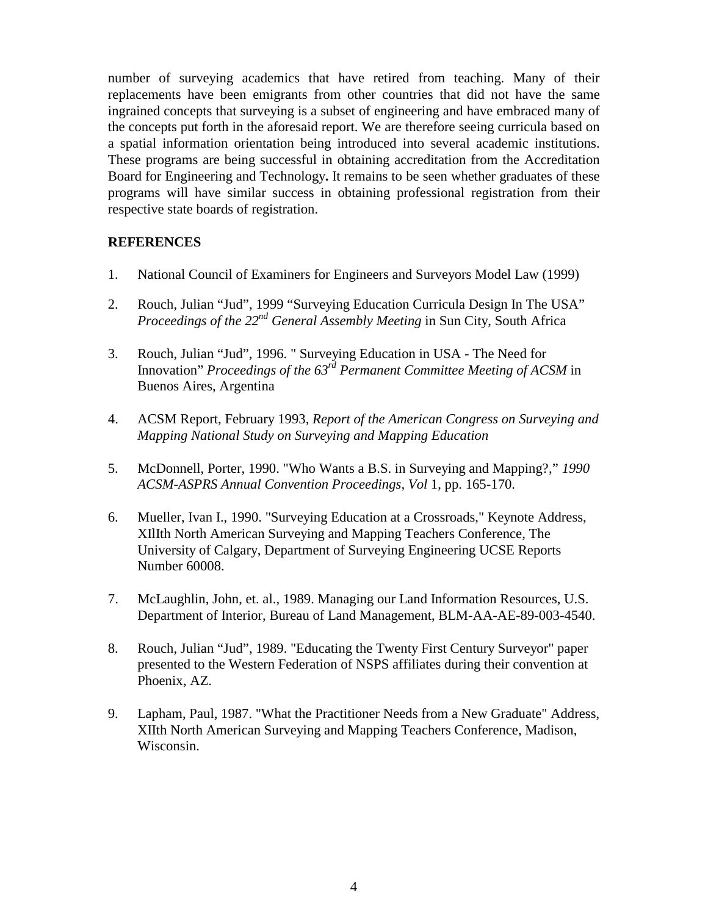number of surveying academics that have retired from teaching. Many of their replacements have been emigrants from other countries that did not have the same ingrained concepts that surveying is a subset of engineering and have embraced many of the concepts put forth in the aforesaid report. We are therefore seeing curricula based on a spatial information orientation being introduced into several academic institutions. These programs are being successful in obtaining accreditation from the Accreditation Board for Engineering and Technology**.** It remains to be seen whether graduates of these programs will have similar success in obtaining professional registration from their respective state boards of registration.

## **REFERENCES**

- 1. National Council of Examiners for Engineers and Surveyors Model Law (1999)
- 2. Rouch, Julian "Jud", 1999 "Surveying Education Curricula Design In The USA" *Proceedings of the 22nd General Assembly Meeting* in Sun City, South Africa
- 3. Rouch, Julian "Jud", 1996. " Surveying Education in USA The Need for Innovation" *Proceedings of the 63rd Permanent Committee Meeting of ACSM* in Buenos Aires, Argentina
- 4. ACSM Report, February 1993, *Report of the American Congress on Surveying and Mapping National Study on Surveying and Mapping Education*
- 5. McDonnell, Porter, 1990. "Who Wants a B.S. in Surveying and Mapping?," *1990 ACSM*-*ASPRS Annual Convention Proceedings, Vol* 1, pp. 165-170.
- 6. Mueller, Ivan I., 1990. "Surveying Education at a Crossroads," Keynote Address, XIlIth North American Surveying and Mapping Teachers Conference, The University of Calgary, Department of Surveying Engineering UCSE Reports Number 60008.
- 7. McLaughlin, John, et. al., 1989. Managing our Land Information Resources, U.S. Department of Interior, Bureau of Land Management, BLM-AA-AE-89-003-4540.
- 8. Rouch, Julian "Jud", 1989. "Educating the Twenty First Century Surveyor" paper presented to the Western Federation of NSPS affiliates during their convention at Phoenix, AZ.
- 9. Lapham, Paul, 1987. "What the Practitioner Needs from a New Graduate" Address, XIIth North American Surveying and Mapping Teachers Conference, Madison, Wisconsin.